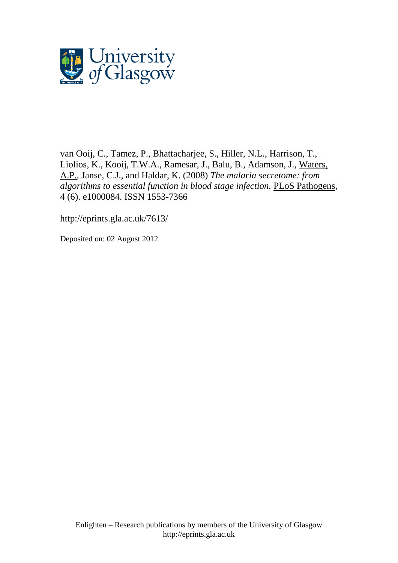

van Ooij, C., Tamez, P., Bhattacharjee, S., Hiller, N.L., Harrison, T., Liolios, K., Kooij, T.W.A., Ramesar, J., Balu, B., Adamson, J., [Waters,](http://eprints.gla.ac.uk/view/author/2440.html)  [A.P.,](http://eprints.gla.ac.uk/view/author/2440.html) Janse, C.J., and Haldar, K. (2008) *The malaria secretome: from algorithms to essential function in blood stage infection.* [PLoS Pathogens,](http://eprints.gla.ac.uk/view/journal_volume/PLoS_Pathogens.html) 4 (6). e1000084. ISSN 1553-7366

<http://eprints.gla.ac.uk/7613/>

Deposited on: 02 August 2012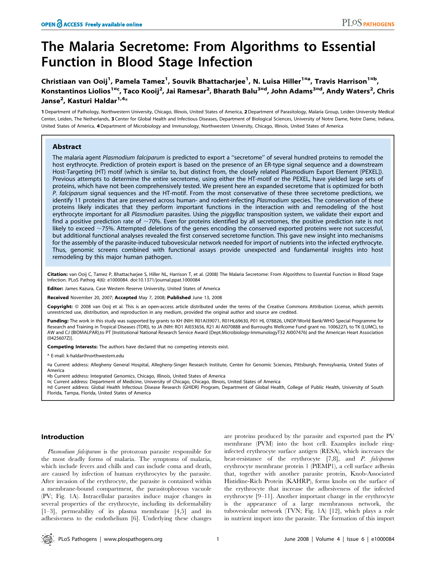## The Malaria Secretome: From Algorithms to Essential Function in Blood Stage Infection

Christiaan van Ooij<sup>1</sup>, Pamela Tamez<sup>1</sup>, Souvik Bhattacharjee<sup>1</sup>, N. Luisa Hiller<sup>1¤a</sup>, Travis Harrison<sup>1¤b</sup>, Konstantinos Liolios<sup>1¤c</sup>, Taco Kooij<sup>2</sup>, Jai Ramesar<sup>2</sup>, Bharath Balu<sup>3¤d</sup>, John Adams<sup>3¤d</sup>, Andy Waters<sup>2</sup>, Chris Janse<sup>2</sup>, Kasturi Haldar<sup>1,4</sup>\*

1 Department of Pathology, Northwestern University, Chicago, Illinois, United States of America, 2Department of Parasitology, Malaria Group, Leiden University Medical Center, Leiden, The Netherlands, 3 Center for Global Health and Infectious Diseases, Department of Biological Sciences, University of Notre Dame, Notre Dame, Indiana, United States of America, 4Department of Microbiology and Immunology, Northwestern University, Chicago, Illinois, United States of America

### Abstract

The malaria agent Plasmodium falciparum is predicted to export a "secretome" of several hundred proteins to remodel the host erythrocyte. Prediction of protein export is based on the presence of an ER-type signal sequence and a downstream Host-Targeting (HT) motif (which is similar to, but distinct from, the closely related Plasmodium Export Element [PEXEL]). Previous attempts to determine the entire secretome, using either the HT-motif or the PEXEL, have yielded large sets of proteins, which have not been comprehensively tested. We present here an expanded secretome that is optimized for both P. falciparum signal sequences and the HT-motif. From the most conservative of these three secretome predictions, we identify 11 proteins that are preserved across human- and rodent-infecting Plasmodium species. The conservation of these proteins likely indicates that they perform important functions in the interaction with and remodeling of the host erythrocyte important for all Plasmodium parasites. Using the piggyBac transposition system, we validate their export and find a positive prediction rate of  $\sim$ 70%. Even for proteins identified by all secretomes, the positive prediction rate is not likely to exceed  $\sim$ 75%. Attempted deletions of the genes encoding the conserved exported proteins were not successful, but additional functional analyses revealed the first conserved secretome function. This gave new insight into mechanisms for the assembly of the parasite-induced tubovesicular network needed for import of nutrients into the infected erythrocyte. Thus, genomic screens combined with functional assays provide unexpected and fundamental insights into host remodeling by this major human pathogen.

Citation: van Ooij C, Tamez P, Bhattacharjee S, Hiller NL, Harrison T, et al. (2008) The Malaria Secretome: From Algorithms to Essential Function in Blood Stage Infection. PLoS Pathog 4(6): e1000084. doi:10.1371/journal.ppat.1000084

ditor: James Kazura, Case Western Reserve University, United States of America

Received November 20, 2007; Accepted May 7, 2008; Published June 13, 2008

Copyright: @ 2008 van Ooij et al. This is an open-access article distributed under the terms of the Creative Commons Attribution License, which permits unrestricted use, distribution, and reproduction in any medium, provided the original author and source are credited.

Funding: The work in this study was supported by grants to KH (NIH: R01AI39071, R01HL69630, P01 HL 078826, UNDP/World Bank/WHO Special Programme for Research and Training in Tropical Diseases (TDR)), to JA (NIH: RO1 AI033656, R21 AI AI070888 and Burroughs Wellcome Fund grant no. 1006227), to TK (LUMC), to AW and CJ (BIOMALPAR),to PT [Institutional National Research Service Award (Dept.Microbiology-ImmunologyT32 AI007476) and the American Heart Association (0425607Z)].

Competing Interests: The authors have declared that no competing interests exist.

\* E-mail: k-haldar@northwestern.edu

¤a Current address: Allegheny General Hospital, Allegheny-Singer Research Institute, Center for Genomic Sciences, Pittsburgh, Pennsylvania, United States of America

¤b Current address: Integrated Genomics, Chicago, Illinois, United States of America

¤c Current address: Department of Medicine, University of Chicago, Chicago, Illinois, United States of America ¤d Current address: Global Health Infectious Disease Research (GHIDR) Program, Department of Global Health, College of Public Health, University of South

Florida, Tampa, Florida, United States of America

#### Introduction

Plasmodium falciparum is the protozoan parasite responsible for the most deadly forms of malaria. The symptoms of malaria, which include fevers and chills and can include coma and death, are caused by infection of human erythrocytes by the parasite. After invasion of the erythrocyte, the parasite is contained within a membrane-bound compartment, the parasitophorous vacuole (PV; Fig. 1A). Intracellular parasites induce major changes in several properties of the erythrocyte, including its deformability [1–3], permeability of its plasma membrane [4,5] and its adhesiveness to the endothelium [6]. Underlying these changes

are proteins produced by the parasite and exported past the PV membrane (PVM) into the host cell. Examples include ringinfected erythrocyte surface antigen (RESA), which increases the heat-resistance of the erythrocyte [7,8], and P. falciparum erythrocyte membrane protein 1 (PfEMP1), a cell surface adhesin that, together with another parasite protein, Knob-Associated Histidine-Rich Protein (KAHRP), forms knobs on the surface of the erythrocyte that increase the adhesiveness of the infected erythrocyte [9–11]. Another important change in the erythrocyte is the appearance of a large membranous network, the tubovesicular network (TVN; Fig. 1A) [12], which plays a role in nutrient import into the parasite. The formation of this import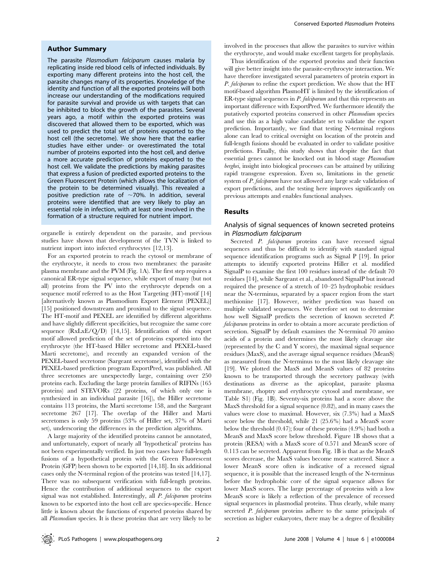#### Author Summary

The parasite Plasmodium falciparum causes malaria by replicating inside red blood cells of infected individuals. By exporting many different proteins into the host cell, the parasite changes many of its properties. Knowledge of the identity and function of all the exported proteins will both increase our understanding of the modifications required for parasite survival and provide us with targets that can be inhibited to block the growth of the parasites. Several years ago, a motif within the exported proteins was discovered that allowed them to be exported, which was used to predict the total set of proteins exported to the host cell (the secretome). We show here that the earlier studies have either under- or overestimated the total number of proteins exported into the host cell, and derive a more accurate prediction of proteins exported to the host cell. We validate the predictions by making parasites that express a fusion of predicted exported proteins to the Green Fluorescent Protein (which allows the localization of the protein to be determined visually). This revealed a positive prediction rate of  $\sim$ 70%. In addition, several proteins were identified that are very likely to play an essential role in infection, with at least one involved in the formation of a structure required for nutrient import.

organelle is entirely dependent on the parasite, and previous studies have shown that development of the TVN is linked to nutrient import into infected erythrocytes [12,13].

For an exported protein to reach the cytosol or membrane of the erythrocyte, it needs to cross two membranes: the parasite plasma membrane and the PVM (Fig. 1A). The first step requires a canonical ER-type signal sequence, while export of many (but not all) proteins from the PV into the erythrocyte depends on a sequence motif referred to as the Host Targeting (HT)-motif [14] [alternatively known as Plasmodium Export Element (PEXEL)] [15] positioned downstream and proximal to the signal sequence. The HT-motif and PEXEL are identified by different algorithms and have slightly different specificities, but recognize the same core sequence  $(RxLxE/Q/D)$  [14,15]. Identification of this export motif allowed prediction of the set of proteins exported into the erythrocyte (the HT-based Hiller secretome and PEXEL-based Marti secretome), and recently an expanded version of the PEXEL-based secretome (Sargeant secretome), identified with the PEXEL-based prediction program ExportPred, was published. All three secretomes are unexpectedly large, containing over 250 proteins each. Excluding the large protein families of RIFINs (165 proteins) and STEVORs (22 proteins, of which only one is synthesized in an individual parasite [16]), the Hiller secretome contains 113 proteins, the Marti secretome 158, and the Sargeant secretome 267 [17]. The overlap of the Hiller and Marti secretomes is only 59 proteins (53% of Hiller set, 37% of Marti set), underscoring the differences in the prediction algorithms.

A large majority of the identified proteins cannot be annotated, and unfortunately, export of nearly all 'hypothetical' proteins has not been experimentally verified. In just two cases have full-length fusions of a hypothetical protein with the Green Fluorescent Protein (GFP) been shown to be exported [14,18]. In six additional cases only the N-terminal region of the proteins was tested [14,17]. There was no subsequent verification with full-length proteins. Hence the contribution of additional sequences to the export signal was not established. Interestingly, all P. falciparum proteins known to be exported into the host cell are species-specific. Hence little is known about the functions of exported proteins shared by all Plasmodium species. It is these proteins that are very likely to be

involved in the processes that allow the parasites to survive within the erythrocyte, and would make excellent targets for prophylaxis.

Thus identification of the exported proteins and their function will give better insight into the parasite-erythrocyte interaction. We have therefore investigated several parameters of protein export in P. falciparum to refine the export prediction. We show that the HT motif-based algorithm PlasmoHT is limited by the identification of ER-type signal sequences in P. falciparum and that this represents an important difference with ExportPred. We furthermore identify the putatively exported proteins conserved in other Plasmodium species and use this as a high value candidate set to validate the export prediction. Importantly, we find that testing N-terminal regions alone can lead to critical oversight on location of the protein and full-length fusions should be evaluated in order to validate positive predictions. Finally, this study shows that despite the fact that essential genes cannot be knocked out in blood stage Plasmodium berghei, insight into biological processes can be attained by utilizing rapid transgene expression. Even so, limitations in the genetic system of P. falciparum have not allowed any large scale validation of export predictions, and the testing here improves significantly on previous attempts and enables functional analyses.

#### Results

#### Analysis of signal sequences of known secreted proteins in Plasmodium falciparum

Secreted P. falciparum proteins can have recessed signal sequences and thus be difficult to identify with standard signal sequence identification programs such as Signal P [19]. In prior attempts to identify exported proteins Hiller et al. modified SignalP to examine the first 100 residues instead of the default 70 residues [14], while Sargeant et al., abandoned SignalP but instead required the presence of a stretch of 10–25 hydrophobic residues near the N-terminus, separated by a spacer region from the start methionine [17]. However, neither prediction was based on multiple validated sequences. We therefore set out to determine how well SignalP predicts the secretion of known secreted P. falciparum proteins in order to obtain a more accurate prediction of secretion. SignalP by default examines the N-terminal 70 amino acids of a protein and determines the most likely cleavage site (represented by the C and Y scores), the maximal signal sequence residues (MaxS), and the average signal sequence residues (MeanS) as measured from the N-terminus to the most likely cleavage site [19]. We plotted the MaxS and MeanS values of 82 proteins known to be transported through the secretory pathway (with destinations as diverse as the apicoplast, parasite plasma membrane, rhoptry and erythrocyte cytosol and membrane, see Table S1) (Fig. 1B). Seventy-six proteins had a score above the MaxS threshold for a signal sequence (0.82), and in many cases the values were close to maximal. However, six (7.3%) had a MaxS score below the threshold, while 21 (25.6%) had a MeanS score below the threshold (0.47); four of these proteins (4.9%) had both a MeanS and MaxS score below threshold. Figure 1B shows that a protein (RESA) with a MaxS score of 0.571 and MeanS score of 0.113 can be secreted. Apparent from Fig. 1B is that as the MeanS scores decrease, the MaxS values become more scattered. Since a lower MeanS score often is indicative of a recessed signal sequence, it is possible that the increased length of the N-terminus before the hydrophobic core of the signal sequence allows for lower MaxS scores. The large percentage of proteins with a low MeanS score is likely a reflection of the prevalence of recessed signal sequences in plasmodial proteins. Thus clearly, while many secreted *P. falciparum* proteins adhere to the same principals of secretion as higher eukaryotes, there may be a degree of flexibility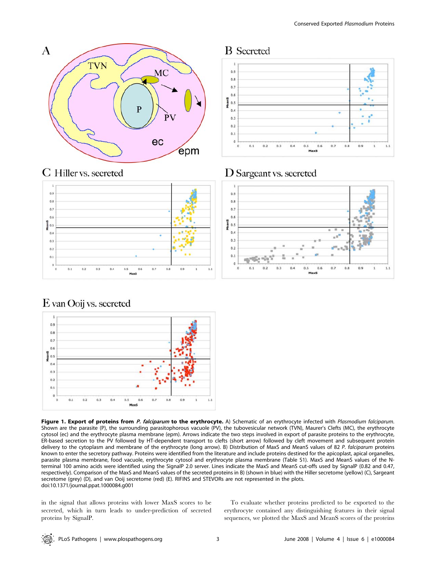

**B** Secreted





# D Sargeant vs. secreted



### E van Ooij vs. secreted

C Hiller vs. secreted



Figure 1. Export of proteins from P. falciparum to the erythrocyte. A) Schematic of an erythrocyte infected with Plasmodium falciparum. Shown are the parasite (P), the surrounding parasitophorous vacuole (PV), the tubovesicular network (TVN), Maurer's Clefts (MC), the erythrocyte cytosol (ec) and the erythrocyte plasma membrane (epm). Arrows indicate the two steps involved in export of parasite proteins to the erythrocyte, ER-based secretion to the PV followed by HT-dependent transport to clefts (short arrow) followed by cleft movement and subsequent protein delivery to the cytoplasm and membrane of the erythrocyte (long arrow). B) Distribution of MaxS and MeanS values of 82 P. falciparum proteins known to enter the secretory pathway. Proteins were identified from the literature and include proteins destined for the apicoplast, apical organelles, parasite plasma membrane, food vacuole, erythrocyte cytosol and erythrocyte plasma membrane (Table S1). MaxS and MeanS values of the Nterminal 100 amino acids were identified using the SignalP 2.0 server. Lines indicate the MaxS and MeanS cut-offs used by SignalP (0.82 and 0.47, respectively). Comparison of the MaxS and MeanS values of the secreted proteins in B) (shown in blue) with the Hiller secretome (yellow) (C), Sargeant secretome (grey) (D), and van Ooij secretome (red) (E). RIFINS and STEVORs are not represented in the plots. doi:10.1371/journal.ppat.1000084.g001

in the signal that allows proteins with lower MaxS scores to be secreted, which in turn leads to under-prediction of secreted proteins by SignalP.

To evaluate whether proteins predicted to be exported to the erythrocyte contained any distinguishing features in their signal sequences, we plotted the MaxS and MeanS scores of the proteins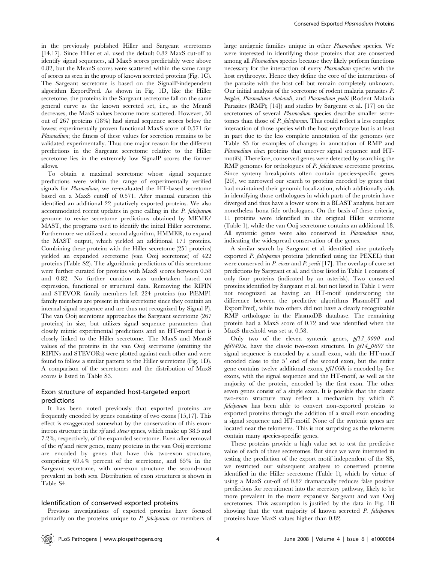in the previously published Hiller and Sargeant secretomes [14,17]. Since Hiller et al. used the default 0.82 MaxS cut-off to identify signal sequences, all MaxS scores predictably were above 0.82, but the MeanS scores were scattered within the same range of scores as seen in the group of known secreted proteins (Fig. 1C). The Sargeant secretome is based on the SignalP-independent algorithm ExportPred. As shown in Fig. 1D, like the Hiller secretome, the proteins in the Sargeant secretome fall on the same general curve as the known secreted set, i.e., as the MeanS decreases, the MaxS values become more scattered. However, 50 out of 267 proteins (18%) had signal sequence scores below the lowest experimentally proven functional MaxS score of 0.571 for Plasmodium; the fitness of these values for secretion remains to be validated experimentally. Thus one major reason for the different predictions in the Sargeant secretome relative to the Hiller secretome lies in the extremely low SignalP scores the former allows.

To obtain a maximal secretome whose signal sequence predictions were within the range of experimentally verified signals for *Plasmodium*, we re-evaluated the HT-based secretome based on a MaxS cutoff of 0.571. After manual curation this identified an additional 22 putatively exported proteins. We also accommodated recent updates in gene calling in the P. falciparum genome to revise secretome predictions obtained by MEME/ MAST, the programs used to identify the initial Hiller secretome. Furthermore we utilized a second algorithm, HMMER, to expand the MAST output, which yielded an additional 171 proteins. Combining these proteins with the Hiller secretome (251 proteins) yielded an expanded secretome (van Ooij secretome) of 422 proteins (Table S2). The algorithmic predictions of this secretome were further curated for proteins with MaxS scores between 0.58 and 0.82. No further curation was undertaken based on expression, functional or structural data. Removing the RIFIN and STEVOR family members left 224 proteins (no PfEMP1 family members are present in this secretome since they contain an internal signal sequence and are thus not recognized by Signal P). The van Ooij secretome approaches the Sargeant secretome (267 proteins) in size, but utilizes signal sequence parameters that closely mimic experimental predictions and an HT-motif that is closely linked to the Hiller secretome. The MaxS and MeanS values of the proteins in the van Ooij secretome (omitting the RIFINs and STEVORs) were plotted against each other and were found to follow a similar pattern to the Hiller secretome (Fig. 1D). A comparison of the secretomes and the distribution of MaxS scores is listed in Table S3.

#### Exon structure of expanded host-targeted export predictions

It has been noted previously that exported proteins are frequently encoded by genes consisting of two exons [15,17]. This effect is exaggerated somewhat by the conservation of this exonintron structure in the rif and stevor genes, which make up 38.5 and 7.2%, respectively, of the expanded secretome. Even after removal of the rif and stevor genes, many proteins in the van Ooij secretome are encoded by genes that have this two-exon structure, comprising 69.4% percent of the secretome, and 65% in the Sargeant secretome, with one-exon structure the second-most prevalent in both sets. Distribution of exon structures is shown in Table S4.

#### Identification of conserved exported proteins

Previous investigations of exported proteins have focused primarily on the proteins unique to P. falciparum or members of large antigenic families unique in other Plasmodium species. We were interested in identifying those proteins that are conserved among all Plasmodium species because they likely perform functions necessary for the interaction of every Plasmodium species with the host erythrocyte. Hence they define the core of the interactions of the parasite with the host cell but remain completely unknown. Our initial analysis of the secretome of rodent malaria parasites P. berghei, Plasmodium chabaudi, and Plasmodium yoelii (Rodent Malaria Parasites (RMP); [14]) and studies by Sargeant et al. [17] on the secretomes of several *Plasmodium* species describe smaller secretomes than those of P. falciparum. This could reflect a less complex interaction of those species with the host erythrocyte but is at least in part due to the less complete annotation of the genomes (see Table S5 for examples of changes in annotation of RMP and Plasmodium vivax proteins that uncover signal sequence and HTmotifs). Therefore, conserved genes were detected by searching the RMP genomes for orthologues of *P. falciparum* secretome proteins. Since synteny breakpoints often contain species-specific genes [20], we narrowed our search to proteins encoded by genes that had maintained their genomic localization, which additionally aids in identifying those orthologues in which parts of the protein have diverged and thus have a lower score in a BLAST analysis, but are nonetheless bona fide orthologues. On the basis of these criteria, 11 proteins were identified in the original Hiller secretome (Table 1), while the van Ooij secretome contains an additional 18. All syntenic genes were also conserved in *Plasmodium vivax*, indicating the widespread conservation of the genes.

A similar search by Sargeant et al. identified nine putatively exported P. falciparum proteins (identified using the PEXEL) that were conserved in *P. vivax* and *P. yoelii* [17]. The overlap of core set predictions by Sargeant et al. and those listed in Table 1 consists of only four proteins (indicated by an asterisk). Two conserved proteins identified by Sargeant et al. but not listed in Table 1 were not recognized as having an HT-motif (underscoring the difference between the predictive algorithms PlasmoHT and ExportPred), while two others did not have a clearly recognizable RMP orthologue in the PlasmoDB database. The remaining protein had a MaxS score of 0.72 and was identified when the MaxS threshold was set at 0.58.

Only two of the eleven syntenic genes, pf13\_0090 and  $pfd0495c$ , have the classic two-exon structure. In  $pf14_0607$  the signal sequence is encoded by a small exon, with the HT-motif encoded close to the 5' end of the second exon, but the entire gene contains twelve additional exons.  $pfl1660c$  is encoded by five exons, with the signal sequence and the HT-motif, as well as the majority of the protein, encoded by the first exon. The other seven genes consist of a single exon. It is possible that the classic two-exon structure may reflect a mechanism by which P. falciparum has been able to convert non-exported proteins to exported proteins through the addition of a small exon encoding a signal sequence and HT-motif. None of the syntenic genes are located near the telomeres. This is not surprising as the telomeres contain many species-specific genes.

These proteins provide a high value set to test the predictive value of each of these secretomes. But since we were interested in testing the prediction of the export motif independent of the SS, we restricted our subsequent analyses to conserved proteins identified in the Hiller secretome (Table 1), which by virtue of using a MaxS cut-off of 0.82 dramatically reduces false positive predictions for recruitment into the secretory pathway, likely to be more prevalent in the more expansive Sargeant and van Ooij secretomes. This assumption is justified by the data in Fig. 1B showing that the vast majority of known secreted P. falciparum proteins have MaxS values higher than 0.82.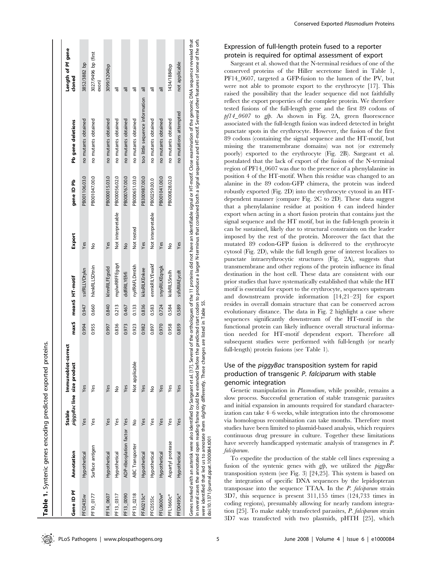|            | Table 1. Syntenic genes encoding predicted exported proteins. |               |                                                                                                          |       |       |                |                   |               |                                                                                                                                                                                                                                                                                                                                                                                                                                                                 |                              |
|------------|---------------------------------------------------------------|---------------|----------------------------------------------------------------------------------------------------------|-------|-------|----------------|-------------------|---------------|-----------------------------------------------------------------------------------------------------------------------------------------------------------------------------------------------------------------------------------------------------------------------------------------------------------------------------------------------------------------------------------------------------------------------------------------------------------------|------------------------------|
| Gene ID Pf | Annotation                                                    | <b>Stable</b> | Immunoblot-correct<br>piggyBacline size product                                                          | maxS  |       | meanS HT-motif | Export            | gene ID Pb    | Pb gene deletions                                                                                                                                                                                                                                                                                                                                                                                                                                               | Length of Pf gene<br>cloned  |
| PFC0435w   | Hypothetical                                                  | Yes           | Yes                                                                                                      | 0.994 | 0.947 | ssifRLLVDtykn  | Yes               | PB001106.03.0 | no mutants obtained                                                                                                                                                                                                                                                                                                                                                                                                                                             | 3852/3882 bp                 |
| PF10 0177  | Surface antigen                                               | Yes           | Yes                                                                                                      | 0.955 | 0.660 | hknkRLLSDtnin  | ş                 | PB001047.00.0 | no mutants obtained                                                                                                                                                                                                                                                                                                                                                                                                                                             | 3027/9496 bp (first<br>exon) |
| PF14_0607  | Hypothetical                                                  | Yes           | Yes                                                                                                      | 0.997 | 0.840 | kInnRILFEgsdd  | Yes               | PB000015.03.0 | no mutants obtained                                                                                                                                                                                                                                                                                                                                                                                                                                             | 3099/3204bp                  |
| PF13_0317  | Hypothetical                                                  | Yes           | $\frac{1}{2}$                                                                                            | 0.836 | 0.213 | mplwRRFFEgqyt  | Not interpretable | PB000056.02.0 | no mutants obtained                                                                                                                                                                                                                                                                                                                                                                                                                                             | ᠊ᢛ                           |
| PF13_0090  | ADP-ribosylation factor Yes                                   |               | Yes                                                                                                      | 0.973 | 0.467 | ddfiRILYEfrfi  | $\frac{1}{2}$     | PB000767.00.0 | no mutants obtained                                                                                                                                                                                                                                                                                                                                                                                                                                             | ᆕ                            |
| PF13_0218  | ABC Transporter                                               | $\frac{1}{2}$ | Not applicable                                                                                           | 0.923 | 0.133 | nyifRAFLDmtkh  | Not tested        | PB000651.03.0 | no mutants obtained                                                                                                                                                                                                                                                                                                                                                                                                                                             | ᠊ᢛ                           |
| PFA0210c*  | Hypothetical                                                  | Yes           | Yes                                                                                                      | 0.982 | 0.836 | kiksRILKEnkee  | Yes               | PB300987.00.0 | too little sequence information                                                                                                                                                                                                                                                                                                                                                                                                                                 | $\overline{5}$               |
| PFC0555c   | Hypothetical                                                  | Yes           | $\frac{1}{2}$                                                                                            | 0.897 | 0.583 | enmkRILYEwakf  | Not interpretable | PB00259.00.0  | no mutants obtained                                                                                                                                                                                                                                                                                                                                                                                                                                             | ᠊ᢛ                           |
| PFL0600w*  | Hypothetical                                                  | Yes           | Yes                                                                                                      | 0.970 | 0.724 | snysRILKEqngk  | Yes               | PB001041.00.0 | no mutants obtained                                                                                                                                                                                                                                                                                                                                                                                                                                             | ᆕ                            |
| PFL1660c*  | Aspartyl protease                                             | Yes           | Yes                                                                                                      | 0.958 | 0.584 | kiikRILSSnslh  | ş                 | PB000828.02.0 | no mutants obtained                                                                                                                                                                                                                                                                                                                                                                                                                                             | 1434/1884bp                  |
| PFD0495c*  | Hypothetical                                                  | Yes           | Yes                                                                                                      | 0.859 | 0.589 | ssfsRIIAEycdt  | Yes               |               | no mutations attempted                                                                                                                                                                                                                                                                                                                                                                                                                                          | not applicable               |
|            | doi:10.1371/journal.ppat.1000084.t00                          |               | were identified that led us to annotate them slightly differently. These changes are listed in Table S5. |       |       |                |                   |               | Genes marked with an asterisk were also identified by Sargeant et al. [17]. Several of the orthologues of the 11 proteins did not have an identifiable signal or HT-motif. Close examination of the genomic DNA sequence revea<br>in several cases the annotated open reading frame could be extended before the predicted start codon to produce a larger N-terminus that contained both a signal sequence and HT-motif. Several other features of some of the |                              |

Conserved Exported Plasmodium Proteins

#### Expression of full-length protein fused to a reporter protein is required for optimal assessment of export

Sargeant et al. showed that the N-terminal residues of one of the conserved proteins of the Hiller secretome listed in Table 1, PF14\_0607, targeted a GFP-fusion to the lumen of the PV, but were not able to promote export to the erythrocyte [17]. This raised the possibility that the leader sequence did not faithfully reflect the export properties of the complete protein. We therefore tested fusions of the full-length gene and the first 89 codons of  $pf14_0607$  to gfp. As shown in Fig. 2A, green fluorescence associated with the full-length fusion was indeed detected in bright punctate spots in the erythrocyte. However, the fusion of the first 89 codons (containing the signal sequence and the HT-motif, but missing the transmembrane domains) was not (or extremely poorly) exported to the erythrocyte (Fig. 2B). Sargeant et al. postulated that the lack of export of the fusion of the N-terminal region of PF14\_0607 was due to the presence of a phenylalanine in position 4 of the HT-motif. When this residue was changed to an alanine in the 89 codon-GFP chimera, the protein was indeed robustly exported (Fig. 2D) into the erythrocyte cytosol in an HTdependent manner (compare Fig. 2C to 2D). These data suggest that a phenylalanine residue at position 4 can indeed hinder export when acting in a short fusion protein that contains just the signal sequence and the HT motif, but in the full-length protein it can be sustained, likely due to structural constraints on the leader imposed by the rest of the protein. Moreover the fact that the mutated 89 codon-GFP fusion is delivered to the erythrocyte cytosol (Fig. 2D), while the full length gene of interest localizes to punctate intraerythrocytic structures (Fig. 2A), suggests that transmembrane and other regions of the protein influence its final destination in the host cell. These data are consistent with our prior studies that have systematically established that while the HT motif is essential for export to the erythrocyte, sequences upstream and downstream provide information [14,21–23] for export resides in overall domain structure that can be conserved across evolutionary distance. The data in Fig. 2 highlight a case where sequences significantly downstream of the HT-motif in the functional protein can likely influence overall structural information needed for HT-motif dependent export. Therefore all subsequent studies were performed with full-length (or nearly full-length) protein fusions (see Table 1).

#### Use of the *piggyBac* transposition system for rapid production of transgenic P. falciparum with stable genomic integration

Genetic manipulation in Plasmodium, while possible, remains a slow process. Successful generation of stable transgenic parasites and initial expansion in amounts required for standard characterization can take 4–6 weeks, while integration into the chromosome via homologous recombination can take months. Therefore most studies have been limited to plasmid-based analysis, which requires continuous drug pressure in culture. Together these limitations have severely handicapped systematic analysis of transgenes in P. falciparum.

To expedite the production of the stable cell lines expressing a fusion of the syntenic genes with gfp, we utilized the piggyBac transposition system (see Fig. 3) [24,25]. This system is based on the integration of specific DNA sequences by the lepidopteran transposase into the sequence TTAA. In the P. falciparum strain 3D7, this sequence is present 311,155 times (124,733 times in coding regions), presumably allowing for nearly random integration [25]. To make stably transfected parasites, P. falciparum strain 3D7 was transfected with two plasmids, pHTH [25], which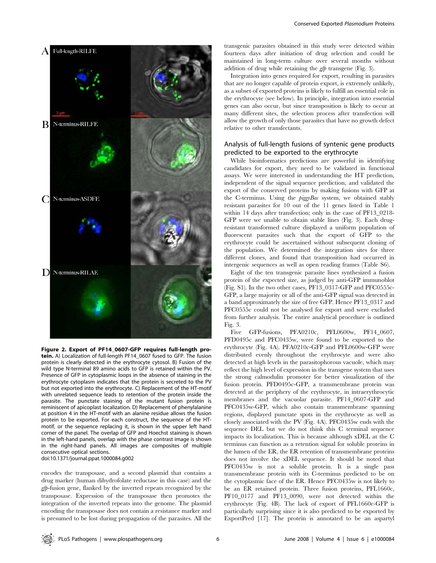

Figure 2. Export of PF14\_0607-GFP requires full-length protein. A) Localization of full-length PF14\_0607 fused to GFP. The fusion protein is clearly detected in the erythrocyte cytosol. B) Fusion of the wild type N-terminal 89 amino acids to GFP is retained within the PV. Presence of GFP in cytoplasmic loops in the absence of staining in the erythrocyte cytoplasm indicates that the protein is secreted to the PV but not exported into the erythrocyte. C) Replacement of the HT-motif with unrelated sequence leads to retention of the protein inside the parasite. The punctate staining of the mutant fusion protein is reminiscent of apicoplast localization. D) Replacement of phenylalanine at position 4 in the HT-motif with an alanine residue allows the fusion protein to be exported. For each construct, the sequence of the HTmotif, or the sequence replacing it, is shown in the upper left hand corner of the panel. The overlap of GFP and Hoechst staining is shown in the left-hand panels, overlap with the phase contrast image is shown in the right-hand panels. All images are composites of multiple consecutive optical sections. doi:10.1371/journal.ppat.1000084.g002

encodes the transposase, and a second plasmid that contains a drug marker (human dihydrofolate reductase in this case) and the gfp-fusion gene, flanked by the inverted repeats recognized by the transposase. Expression of the transposase then promotes the integration of the inverted repeats into the genome. The plasmid encoding the transposase does not contain a resistance marker and is presumed to be lost during propagation of the parasites. All the

transgenic parasites obtained in this study were detected within fourteen days after initiation of drug selection and could be maintained in long-term culture over several months without addition of drug while retaining the  $gfp$  transgene (Fig. 3).

Integration into genes required for export, resulting in parasites that are no longer capable of protein export, is extremely unlikely, as a subset of exported proteins is likely to fulfill an essential role in the erythrocyte (see below). In principle, integration into essential genes can also occur, but since transposition is likely to occur at many different sites, the selection process after transfection will allow the growth of only those parasites that have no growth defect relative to other transfectants.

#### Analysis of full-length fusions of syntenic gene products predicted to be exported to the erythrocyte

While bioinformatics predictions are powerful in identifying candidates for export, they need to be validated in functional assays. We were interested in understanding the HT prediction, independent of the signal sequence prediction, and validated the export of the conserved proteins by making fusions with GFP at the C-terminus. Using the  $\frac{p \cdot p \cdot g}{p \cdot q}$  system, we obtained stably resistant parasites for 10 out of the 11 genes listed in Table 1 within 14 days after transfection; only in the case of PF13\_0218- GFP were we unable to obtain stable lines (Fig. 3). Each drugresistant transformed culture displayed a uniform population of fluorescent parasites such that the export of GFP to the erythrocyte could be ascertained without subsequent cloning of the population. We determined the integration sites for three different clones, and found that transposition had occurred in intergenic sequences as well as open reading frames (Table S6).

Eight of the ten transgenic parasite lines synthesized a fusion protein of the expected size, as judged by anti-GFP immunoblot (Fig. S1). In the two other cases, PF13\_0317-GFP and PFC0555c-GFP, a large majority or all of the anti-GFP signal was detected in a band approximately the size of free GFP. Hence PF13\_0317 and PFC0555c could not be analysed for export and were excluded from further analysis. The entire analytical procedure is outlined Fig. 3.

Five GFP-fusions, PFA0210c, PFL0600w, PF14\_0607, PFD0495c and PFC0435w, were found to be exported to the erythrocyte (Fig. 4A). PFA0210c-GFP and PFL0600w-GFP were distributed evenly throughout the erythrocyte and were also detected at high levels in the parasitophorous vacuole, which may reflect the high level of expression in the transgene system that uses the strong calmodulin promoter for better visualization of the fusion protein. PFD0495c-GFP, a transmembrane protein was detected at the periphery of the erythrocyte, in intraerythrocytic membranes and the vacuolar parasite. PF14\_0607-GFP and PFC0435w-GFP, which also contain transmembrane spanning regions, displayed punctate spots in the erythrocyte as well as closely associated with the PV (Fig. 4A). PFC0435w ends with the sequence DEL but we do not think this C terminal sequence impacts its localization. This is because although xDEL at the C terminus can function as a retention signal for soluble proteins in the lumen of the ER, the ER retention of transmembrane proteins does not involve the xDEL sequence. It should be noted that PFC0435w is not a soluble protein. It is a single pass transmembrane protein with its C-terminus predicted to be on the cytoplasmic face of the ER. Hence PFC0435w is not likely to be an ER retained protein. Three fusion proteins, PFL1660c, PF10\_0177 and PF13\_0090, were not detected within the erythrocyte (Fig. 4B). The lack of export of PFL1660c-GFP is particularly surprising since it is also predicted to be exported by ExportPred [17]. The protein is annotated to be an aspartyl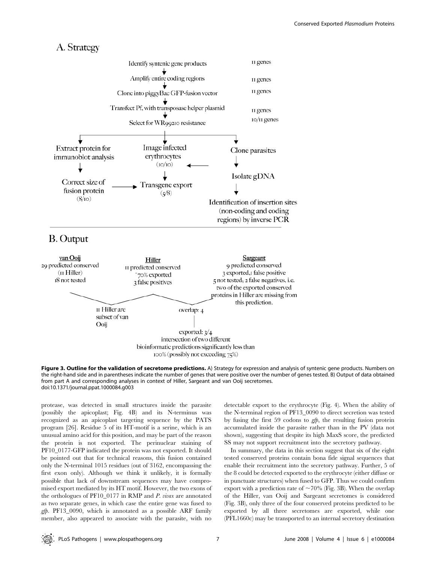

A. Strategy

Figure 3. Outline for the validation of secretome predictions. A) Strategy for expression and analysis of syntenic gene products. Numbers on the right-hand side and in parentheses indicate the number of genes that were positive over the number of genes tested. B) Output of data obtained from part A and corresponding analyses in context of Hiller, Sargeant and van Ooij secretomes. doi:10.1371/journal.ppat.1000084.g003

protease, was detected in small structures inside the parasite (possibly the apicoplast; Fig. 4B) and its N-terminus was recognized as an apicoplast targeting sequence by the PATS program [26]. Residue 5 of its HT-motif is a serine, which is an unusual amino acid for this position, and may be part of the reason the protein is not exported. The perinuclear staining of PF10\_0177-GFP indicated the protein was not exported. It should be pointed out that for technical reasons, this fusion contained only the N-terminal 1015 residues (out of 3162, encompassing the first exon only). Although we think it unlikely, it is formally possible that lack of downstream sequences may have compromised export mediated by its HT motif. However, the two exons of the orthologues of PF10\_0177 in RMP and P. vivax are annotated as two separate genes, in which case the entire gene was fused to gfp. PF13\_0090, which is annotated as a possible ARF family member, also appeared to associate with the parasite, with no detectable export to the erythrocyte (Fig. 4). When the ability of the N-terminal region of PF13\_0090 to direct secretion was tested by fusing the first 59 codons to  $gfp$ , the resulting fusion protein accumulated inside the parasite rather than in the PV (data not shown), suggesting that despite its high MaxS score, the predicted SS may not support recruitment into the secretory pathway.

In summary, the data in this section suggest that six of the eight tested conserved proteins contain bona fide signal sequences that enable their recruitment into the secretory pathway. Further, 5 of the 8 could be detected exported to the erythrocyte (either diffuse or in punctuate structures) when fused to GFP. Thus we could confirm export with a prediction rate of  $\sim$  70% (Fig. 3B). When the overlap of the Hiller, van Ooij and Sargeant secretomes is considered (Fig. 3B), only three of the four conserved proteins predicted to be exported by all three secretomes are exported, while one (PFL1660c) may be transported to an internal secretory destination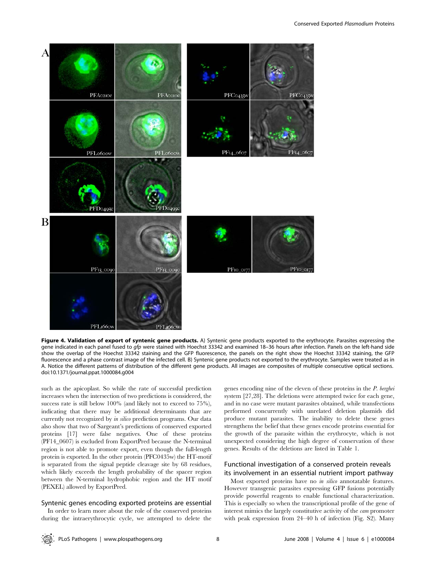

Figure 4. Validation of export of syntenic gene products. A) Syntenic gene products exported to the erythrocyte. Parasites expressing the gene indicated in each panel fused to *qfp* were stained with Hoechst 33342 and examined 18-36 hours after infection. Panels on the left-hand side show the overlap of the Hoechst 33342 staining and the GFP fluorescence, the panels on the right show the Hoechst 33342 staining, the GFP fluorescence and a phase contrast image of the infected cell. B) Syntenic gene products not exported to the erythrocyte. Samples were treated as in A. Notice the different patterns of distribution of the different gene products. All images are composites of multiple consecutive optical sections. doi:10.1371/journal.ppat.1000084.g004

such as the apicoplast. So while the rate of successful prediction increases when the intersection of two predictions is considered, the success rate is still below 100% (and likely not to exceed to 75%), indicating that there may be additional determinants that are currently not recognized by in silico prediction programs. Our data also show that two of Sargeant's predictions of conserved exported proteins [17] were false negatives. One of these proteins (PF14\_0607) is excluded from ExportPred because the N-terminal region is not able to promote export, even though the full-length protein is exported. In the other protein (PFC0435w) the HT-motif is separated from the signal peptide cleavage site by 68 residues, which likely exceeds the length probability of the spacer region between the N-terminal hydrophobic region and the HT motif (PEXEL) allowed by ExportPred.

#### Syntenic genes encoding exported proteins are essential

In order to learn more about the role of the conserved proteins during the intraerythrocytic cycle, we attempted to delete the genes encoding nine of the eleven of these proteins in the P. berghei system [27,28]. The deletions were attempted twice for each gene, and in no case were mutant parasites obtained, while transfections performed concurrently with unrelated deletion plasmids did produce mutant parasites. The inability to delete these genes strengthens the belief that these genes encode proteins essential for the growth of the parasite within the erythrocyte, which is not unexpected considering the high degree of conservation of these genes. Results of the deletions are listed in Table 1.

#### Functional investigation of a conserved protein reveals its involvement in an essential nutrient import pathway

Most exported proteins have no in silico annotatable features. However transgenic parasites expressing GFP fusions potentially provide powerful reagents to enable functional characterization. This is especially so when the transcriptional profile of the gene of interest mimics the largely constitutive activity of the cam promoter with peak expression from 24–40 h of infection (Fig. S2). Many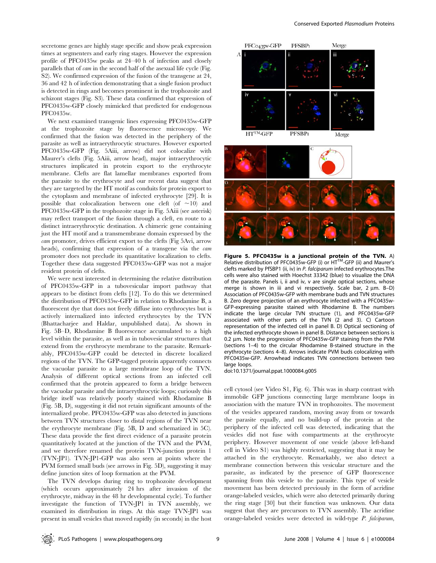secretome genes are highly stage specific and show peak expression times at segmenters and early ring stages. However the expression profile of PFC0435w peaks at 24–40 h of infection and closely parallels that of cam in the second half of the asexual life cycle (Fig. S2). We confirmed expression of the fusion of the transgene at 24, 36 and 42 h of infection demonstrating that a single fusion product is detected in rings and becomes prominent in the trophozoite and schizont stages (Fig. S3). These data confirmed that expression of PFC0435w-GFP closely mimicked that predicted for endogenous PFC0435w.

We next examined transgenic lines expressing PFC0435w-GFP at the trophozoite stage by fluorescence microscopy. We confirmed that the fusion was detected in the periphery of the parasite as well as intraerythrocytic structures. However exported PFC0435w-GFP (Fig. 5Aiii, arrow) did not colocalize with Maurer's clefts (Fig. 5Aiii, arrow head), major intraerythrocytic structures implicated in protein export to the erythrocyte membrane. Clefts are flat lamellar membranes exported from the parasite to the erythrocyte and our recent data suggest that they are targeted by the HT motif as conduits for protein export to the cytoplasm and membrane of infected erythrocyte [29]. It is possible that colocalization between one cleft (of  $\sim$ 10) and PFC0435w-GFP in the trophozoite stage in Fig. 5Aiii (see asterisk) may reflect transport of the fusion through a cleft, en route to a distinct intraerythrocytic destination. A chimeric gene containing just the HT motif and a transmembrane domain expressed by the cam promoter, drives efficient export to the clefts (Fig 5Avi, arrow heads), confirming that expression of a transgene via the cam promoter does not preclude its quantitative localization to clefts. Together these data suggested PFC0435w-GFP was not a major resident protein of clefts.

We were next interested in determining the relative distribution of PFC0435w-GFP in a tubovesicular import pathway that appears to be distinct from clefts [12]. To do this we determined the distribution of PFC0435w-GFP in relation to Rhodamine B, a fluorescent dye that does not freely diffuse into erythrocytes but is actively internalized into infected erythrocytes by the TVN (Bhattacharjee and Haldar, unpublished data). As shown in Fig. 5B–D, Rhodamine B fluorescence accumulated to a high level within the parasite, as well as in tubovesicular structures that extend from the erythrocyte membrane to the parasite. Remarkably, PFC0435w-GFP could be detected in discrete localized regions of the TVN. The GFP-tagged protein apparently connects the vacuolar parasite to a large membrane loop of the TVN. Analysis of different optical sections from an infected cell confirmed that the protein appeared to form a bridge between the vacuolar parasite and the intraerythrocytic loops; curiously this bridge itself was relatively poorly stained with Rhodamine B (Fig. 5B, D), suggesting it did not retain significant amounts of the internalized probe. PFC0435w-GFP was also detected in junctions between TVN structures closer to distal regions of the TVN near the erythrocyte membrane (Fig. 5B, D and schematized in 5C). These data provide the first direct evidence of a parasite protein quantitatively located at the junction of the TVN and the PVM, and we therefore renamed the protein TVN-junction protein 1 (TVN-JP1). TVN-JP1-GFP was also seen at points where the PVM formed small buds (see arrows in Fig. 5D), suggesting it may define junction sites of loop formation at the PVM.

The TVN develops during ring to trophozoite development (which occurs approximately 24 hrs after invasion of the erythrocyte, midway in the 48 hr developmental cycle). To further investigate the function of TVN-JP1 in TVN assembly, we examined its distribution in rings. At this stage TVN-JP1 was present in small vesicles that moved rapidly (in seconds) in the host



Figure 5. PFC0435w is a junctional protein of the TVN. A) Relative distribution of PFC0435w-GFP (i) or HTTM-GFP (ii) and Maurer's clefts marked by PfSBP1 (ii, iv) in P. falciparum infected erythrocytes.The cells were also stained with Hoechst 33342 (blue) to visualize the DNA of the parasite. Panels i, ii and iv, v are single optical sections, whose merge is shown in iii and vi respectively. Scale bar,  $2 \mu m$ . B-D) Association of PFC0435w-GFP with membrane buds and TVN structures B. Zero degree projection of an erythrocyte infected with a PFC0435w-GFP-expressing parasite stained with Rhodamine B. The numbers indicate the large circular TVN structure (1), and PFC0435w-GFP associated with other parts of the TVN (2 and 3). C) Cartoon representation of the infected cell in panel B. D) Optical sectioning of the infected erythrocyte shown in panel B. Distance between sections is 0.2 um. Note the progression of PFC0435w-GFP staining from the PVM (sections 1–4) to the circular Rhodamine B-stained structure in the erythrocyte (sections 4–8). Arrows indicate PVM buds colocalizing with PFC0435w-GFP. Arrowhead indicates TVN connections between two large loops.

doi:10.1371/journal.ppat.1000084.g005

cell cytosol (see Video S1, Fig. 6). This was in sharp contrast with immobile GFP junctions connecting large membrane loops in association with the mature TVN in trophozoites. The movement of the vesicles appeared random, moving away from or towards the parasite equally, and no build-up of the protein at the periphery of the infected cell was detected, indicating that the vesicles did not fuse with compartments at the erythrocyte periphery. However movement of one vesicle (above left-hand cell in Video S1) was highly restricted, suggesting that it may be attached in the erythrocyte. Remarkably, we also detect a membrane connection between this vesicular structure and the parasite, as indicated by the presence of GFP fluorescence spanning from this vesicle to the parasite. This type of vesicle movement has been detected previously in the form of acridine orange-labeled vesicles, which were also detected primarily during the ring stage [30] but their function was unknown. Our data suggest that they are precursors to TVN assembly. The acridine orange-labeled vesicles were detected in wild-type P. falciparum,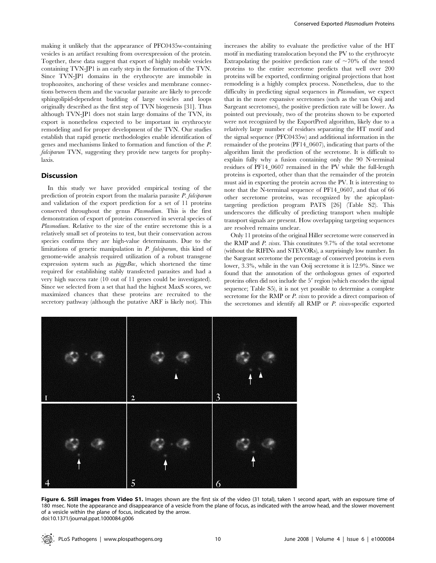making it unlikely that the appearance of PFC0435w-containing vesicles is an artifact resulting from overexpression of the protein. Together, these data suggest that export of highly mobile vesicles containing TVN-JP1 is an early step in the formation of the TVN. Since TVN-JP1 domains in the erythrocyte are immobile in trophozoites, anchoring of these vesicles and membrane connections between them and the vacuolar parasite are likely to precede sphingolipid-dependent budding of large vesicles and loops originally described as the first step of TVN biogenesis [31]. Thus although TVN-JP1 does not stain large domains of the TVN, its export is nonetheless expected to be important in erythrocyte remodeling and for proper development of the TVN. Our studies establish that rapid genetic methodologies enable identification of genes and mechanisms linked to formation and function of the P. falciparum TVN, suggesting they provide new targets for prophylaxis.

#### **Discussion**

In this study we have provided empirical testing of the prediction of protein export from the malaria parasite P. falciparum and validation of the export prediction for a set of 11 proteins conserved throughout the genus Plasmodium. This is the first demonstration of export of proteins conserved in several species of Plasmodium. Relative to the size of the entire secretome this is a relatively small set of proteins to test, but their conservation across species confirms they are high-value determinants. Due to the limitations of genetic manipulation in P. falciparum, this kind of genome-wide analysis required utilization of a robust transgene expression system such as  $\frac{\text{piggy}}{\text{Bac}}$ , which shortened the time required for establishing stably transfected parasites and had a very high success rate (10 out of 11 genes could be investigated). Since we selected from a set that had the highest MaxS scores, we maximized chances that these proteins are recruited to the secretory pathway (although the putative ARF is likely not). This increases the ability to evaluate the predictive value of the HT motif in mediating translocation beyond the PV to the erythrocyte Extrapolating the positive prediction rate of  $\sim$ 70% of the tested proteins to the entire secretome predicts that well over 200 proteins will be exported, confirming original projections that host remodeling is a highly complex process. Nonetheless, due to the difficulty in predicting signal sequences in *Plasmodium*, we expect that in the more expansive secretomes (such as the van Ooij and Sargeant secretomes), the positive prediction rate will be lower. As pointed out previously, two of the proteins shown to be exported were not recognized by the ExportPred algorithm, likely due to a relatively large number of residues separating the HT motif and the signal sequence (PFC0435w) and additional information in the remainder of the proteins (PF14\_0607), indicating that parts of the algorithm limit the prediction of the secretome. It is difficult to explain fully why a fusion containing only the 90 N-terminal residues of PF14\_0607 remained in the PV while the full-length proteins is exported, other than that the remainder of the protein must aid in exporting the protein across the PV. It is interesting to note that the N-terminal sequence of PF14\_0607, and that of 66 other secretome proteins, was recognized by the apicoplasttargeting prediction program PATS [26] (Table S2). This underscores the difficulty of predicting transport when multiple transport signals are present. How overlapping targeting sequences are resolved remains unclear.

Only 11 proteins of the original Hiller secretome were conserved in the RMP and P. vivax. This constitutes 9.7% of the total secretome (without the RIFINs and STEVORs), a surprisingly low number. In the Sargeant secretome the percentage of conserved proteins is even lower, 3.3%, while in the van Ooij secretome it is 12.9%. Since we found that the annotation of the orthologous genes of exported proteins often did not include the 5' region (which encodes the signal sequence; Table S5), it is not yet possible to determine a complete secretome for the RMP or P. vivax to provide a direct comparison of the secretomes and identify all RMP or P. vivax-specific exported



Figure 6. Still images from Video S1. Images shown are the first six of the video (31 total), taken 1 second apart, with an exposure time of 180 msec. Note the appearance and disappearance of a vesicle from the plane of focus, as indicated with the arrow head, and the slower movement of a vesicle within the plane of focus, indicated by the arrow. doi:10.1371/journal.ppat.1000084.g006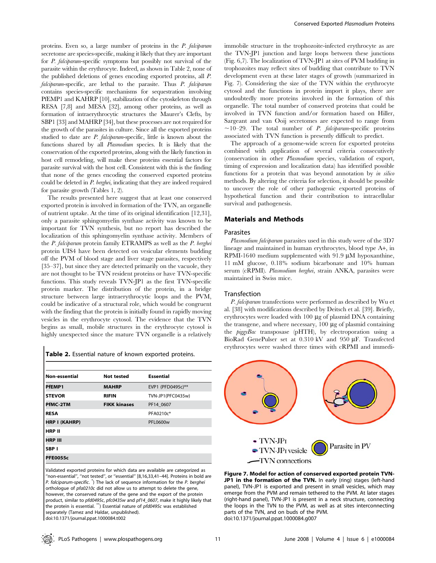proteins. Even so, a large number of proteins in the P. falciparum secretome are species-specific, making it likely that they are important for P. falciparum-specific symptoms but possibly not survival of the parasite within the erythrocyte. Indeed, as shown in Table 2, none of the published deletions of genes encoding exported proteins, all P. falciparum-specific, are lethal to the parasite. Thus P. falciparum contains species-specific mechanisms for sequestration involving PfEMP1 and KAHRP [10], stabilization of the cytoskeleton through RESA [7,8] and MESA [32], among other proteins, as well as formation of intraerythrocytic structures the Maurer's Clefts, by SBP1 [33] and MAHRP [34], but these processes are not required for the growth of the parasites in culture. Since all the exported proteins studied to date are P. falciparum-specific, little is known about the functions shared by all Plasmodium species. It is likely that the conservation of the exported proteins, along with the likely function in host cell remodeling, will make these proteins essential factors for parasite survival with the host cell. Consistent with this is the finding that none of the genes encoding the conserved exported proteins could be deleted in P. berghei, indicating that they are indeed required for parasite growth (Tables 1, 2).

The results presented here suggest that at least one conserved exported protein is involved in formation of the TVN, an organelle of nutrient uptake. At the time of its original identification [12,31], only a parasite sphingomyelin synthase activity was known to be important for TVN synthesis, but no report has described the localization of this sphingomyelin synthase activity. Members of the P. falciparum protein family ETRAMPS as well as the P. berghei protein UIS4 have been detected on vesicular elements budding off the PVM of blood stage and liver stage parasites, respectively [35–37], but since they are detected primarily on the vacuole, they are not thought to be TVN resident proteins or have TVN-specific functions. This study reveals TVN-JP1 as the first TVN-specific protein marker. The distribution of the protein, in a bridge structure between large intraerythrocytic loops and the PVM, could be indicative of a structural role, which would be congruent with the finding that the protein is initially found in rapidly moving vesicles in the erythrocyte cytosol. The evidence that the TVN begins as small, mobile structures in the erythrocyte cytosol is highly unexpected since the mature TVN organelle is a relatively

|  |  |  |  |  |  | Table 2. Essential nature of known exported proteins. |  |
|--|--|--|--|--|--|-------------------------------------------------------|--|
|--|--|--|--|--|--|-------------------------------------------------------|--|

| Non-essential        | <b>Not tested</b>   | <b>Essential</b>  |
|----------------------|---------------------|-------------------|
| PfEMP1               | <b>MAHRP</b>        | EVP1 (PFD0495c)** |
| <b>STEVOR</b>        | <b>RIFIN</b>        | TVN-JP1(PFC0435w) |
| PfMC-2TM             | <b>FIKK kinases</b> | PF14 0607         |
| <b>RESA</b>          |                     | PFA0210c*         |
| <b>HRP I (KAHRP)</b> |                     | PFL0600w          |
| HRP II               |                     |                   |
| <b>HRP III</b>       |                     |                   |
| SBP I                |                     |                   |
| <b>PFE0055c</b>      |                     |                   |

Validated exported proteins for which data are available are categorized as ''non-essential'', ''not tested'', or ''essential'' [8,16,33,41–44]. Proteins in bold are P. falciparum-specific.<sup>\*</sup>) The lack of sequence information for the P. berghei orthologue of pfa0210c did not allow us to attempt to delete the gene, however, the conserved nature of the gene and the export of the protein product, similar to pfd0495c, pfc0435w and pf14\_0607, make it highly likely that the protein is essential. \*\*) Essential nature of *pfd0495c* was established separately (Tamez and Haldar, unpublished). doi:10.1371/journal.ppat.1000084.t002

immobile structure in the trophozoite-infected erythrocyte as are the TVN-JP1 junction and large loops between these junctions (Fig. 6,7). The localization of TVN-JP1 at sites of PVM budding in trophozoites may reflect sites of budding that contribute to TVN development even at these later stages of growth (summarized in Fig. 7). Considering the size of the TVN within the erythrocyte cytosol and the functions in protein import it plays, there are undoubtedly more proteins involved in the formation of this organelle. The total number of conserved proteins that could be involved in TVN function and/or formation based on Hiller, Sargeant and van Ooij secretomes are expected to range from  $\sim$ 10–29. The total number of *P. falciparum*-specific proteins associated with TVN function is presently difficult to predict.

The approach of a genome-wide screen for exported proteins combined with application of several criteria consecutively (conservation in other Plasmodium species, validation of export, timing of expression and localization data) has identified possible functions for a protein that was beyond annotation by in silico methods. By altering the criteria for selection, it should be possible to uncover the role of other pathogenic exported proteins of hypothetical function and their contribution to intracellular survival and pathogenesis.

#### Materials and Methods

#### Parasites

Plasmodium falciparum parasites used in this study were of the 3D7 lineage and maintained in human erythrocytes, blood type A+, in RPMI-1640 medium supplemented with  $91.9 \mu M$  hypoxanthine, 11 mM glucose, 0.18% sodium bicarbonate and 10% human serum (cRPMI). Plasmodium berghei, strain ANKA, parasites were maintained in Swiss mice.

#### Transfection

P. falciparum transfections were performed as described by Wu et al. [38] with modifications described by Deitsch et al. [39]. Briefly, erythrocytes were loaded with  $100 \mu$ g of plasmid DNA containing the transgene, and where necessary,  $100 \mu$ g of plasmid containing the piggyBac transposase (pHTH), by electroporation using a BioRad GenePulser set at 0.310 kV and 950 µF. Transfected erythrocytes were washed three times with cRPMI and immedi-



Figure 7. Model for action of conserved exported protein TVN-JP1 in the formation of the TVN. In early (ring) stages (left-hand panel), TVN-JP1 is exported and present in small vesicles, which may emerge from the PVM and remain tethered to the PVM. At later stages (right-hand panel), TVN-JP1 is present in a neck structure, connecting the loops in the TVN to the PVM, as well as at sites interconnecting parts of the TVN, and on buds of the PVM. doi:10.1371/journal.ppat.1000084.g007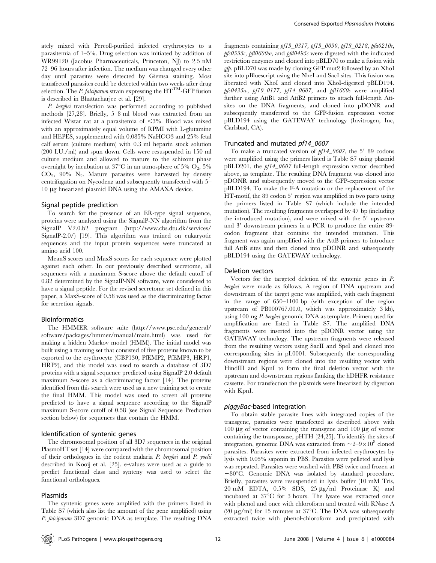ately mixed with Percoll-purified infected erythrocytes to a parasitemia of 1–5%. Drug selection was initiated by addition of WR99120 (Jacobus Pharmaceuticals, Princeton, NJ) to 2.5 nM 72–96 hours after infection. The medium was changed every other day until parasites were detected by Giemsa staining. Most transfected parasites could be detected within two weeks after drug selection. The P. falciparum strain expressing the  $HT^{TM}-GFP$  fusion is described in Bhattacharjee et al. [29].

P. berghei transfection was performed according to published methods [27,28]. Briefly, 5–8 ml blood was extracted from an infected Wistar rat at a parasitemia of  $\langle 3\% \rangle$ . Blood was mixed with an approximately equal volume of RPMI with L-glutamine and HEPES, supplemented with 0.085% NaHCO3 and 25% fetal calf serum (culture medium) with 0.3 ml heparin stock solution (200 I.U./ml) and spun down. Cells were resuspended in 150 ml culture medium and allowed to mature to the schizont phase overnight by incubation at 37<sup>°</sup>C in an atmosphere of 5%  $O_2$ , 5%  $CO<sub>2</sub>$ , 90% N<sub>2</sub>. Mature parasites were harvested by density centrifugation on Nycodenz and subsequently transfected with 5– 10 mg linearized plasmid DNA using the AMAXA device.

#### Signal peptide prediction

To search for the presence of an ER-type signal sequence, proteins were analyzed using the SignalP-NN algorithm from the SignalP V2.0.b2 program (http://www.cbs.dtu.dk/services/ SignalP-2.0/) [19]. This algorithm was trained on eukaryotic sequences and the input protein sequences were truncated at amino acid 100.

MeanS scores and MaxS scores for each sequence were plotted against each other. In our previously described secretome, all sequences with a maximum S-score above the default cutoff of 0.82 determined by the SignalP-NN software, were considered to have a signal peptide. For the revised secretome set defined in this paper, a MaxS-score of 0.58 was used as the discriminating factor for secretion signals.

#### Bioinformatics

The HMMER software suite (http://www.psc.edu/general/ software/packages/hmmer/manual/main.html) was used for making a hidden Markov model (HMM). The initial model was built using a training set that consisted of five proteins known to be exported to the erythrocyte (GBP130, PfEMP2, PfEMP3, HRP1, HRP2), and this model was used to search a database of 3D7 proteins with a signal sequence predicted using SignalP 2.0 default maximum S-score as a discriminating factor [14]. The proteins identified from this search were used as a new training set to create the final HMM. This model was used to screen all proteins predicted to have a signal sequence according to the SignalP maximum S-score cutoff of 0.58 (see Signal Sequence Prediction section below) for sequences that contain the HMM.

#### Identification of syntenic genes

The chromosomal position of all 3D7 sequences in the original PlasmoHT set [14] were compared with the chromosomal position of their orthologues in the rodent malaria P. berghei and P. yoelii described in Kooij et al. [25]. e-values were used as a guide to predict functional class and synteny was used to select the functional orthologues.

#### Plasmids

fragments containing pf13\_0317, pf13\_0090, pf13\_0218, pfa0210c, pfc0555c, pfl0600w, and pfd0495c were digested with the indicated restriction enzymes and cloned into pBLD70 to make a fusion with gfp. pBLD70 was made by cloning GFP mut2 followed by an XhoI site into pBluescript using the NheI and SacI sites. This fusion was liberated with XhoI and cloned into XhoI-digested pBLD194. pfc0435w, pf10\_0177, pf14\_0607, and pfl1660c were amplified further using AttB1 and AttB2 primers to attach full-length Attsites on the DNA fragments, and cloned into pDONR and subsequently transferred to the GFP-fusion expression vector pBLD194 using the GATEWAY technology (Invitrogen, Inc, Carlsbad, CA).

#### Truncated and mutated pf14\_0607

To make a truncated version of  $pf14_0607$ , the 5' 89 codons were amplified using the primers listed is Table S7 using plasmid pBLD201, the pf14\_0607 full-length expression vector described above, as template. The resulting DNA fragment was cloned into pDONR and subsequently moved to the GFP-expression vector pBLD194. To make the F-A mutation or the replacement of the  $HT$ -motif, the 89 codon  $5'$  region was amplified in two parts using the primers listed in Table S7 (which include the intended mutation). The resulting fragments overlapped by 47 bp (including the introduced mutation), and were mixed with the 5' upstream and 3' downstream primers in a PCR to produce the entire 89codon fragment that contains the intended mutation. This fragment was again amplified with the AttB primers to introduce full AttB sites and then cloned into pDONR and subsequently pBLD194 using the GATEWAY technology.

#### Deletion vectors

Vectors for the targeted deletion of the syntenic genes in P. berghei were made as follows. A region of DNA upstream and downstream of the target gene was amplified, with each fragment in the range of 650–1100 bp (with exception of the region upstream of PB000767.00.0, which was approximately 3 kb), using 100 ng P. berghei genomic DNA as template. Primers used for amplification are listed in Table S7. The amplified DNA fragments were inserted into the pDONR vector using the GATEWAY technology. The upstream fragments were released from the resulting vectors using SacII and SpeI and cloned into corresponding sites in pL0001. Subsequently the corresponding downstream regions were cloned into the resulting vector with HindIII and KpnI to form the final deletion vector with the upstream and downstream regions flanking the hDHFR resistance cassette. For transfection the plasmids were linearized by digestion with KpnI.

#### piggyBac-based integration

To obtain stable parasite lines with integrated copies of the transgene, parasites were transfected as described above with 100  $\mu$ g of vector containing the transgene and 100  $\mu$ g of vector containing the transposase, pHTH [24,25]. To identify the sites of integration, genomic DNA was extracted from  $\sim 2-9 \times 10^8$  cloned parasites. Parasites were extracted from infected erythrocytes by lysis with 0.05% saponin in PBS. Parasites were pelleted and lysis was repeated. Parasites were washed with PBS twice and frozen at  $-80^{\circ}$ C. Genomic DNA was isolated by standard procedure. Briefly, parasites were resuspended in lysis buffer (10 mM Tris, 20 mM EDTA,  $0.5\%$  SDS, 25  $\mu$ g/ml Proteinase K) and incubated at  $37^{\circ}$ C for 3 hours. The lysate was extracted once with phenol and once with chloroform and treated with RNase A (20  $\mu$ g/ml) for 15 minutes at 37°C. The DNA was subsequently extracted twice with phenol-chloroform and precipitated with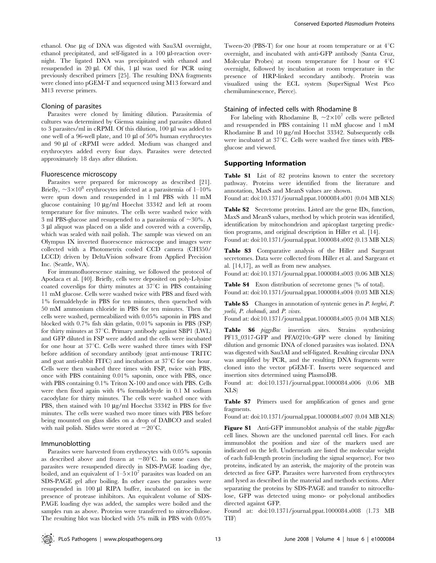ethanol. One µg of DNA was digested with Sau3AI overnight, ethanol precipitated, and self-ligated in a 100 ml-reaction overnight. The ligated DNA was precipitated with ethanol and resuspended in 20  $\mu$ l. Of this, 1  $\mu$ l was used for PCR using previously described primers [25]. The resulting DNA fragments were cloned into pGEM-T and sequenced using M13 forward and M13 reverse primers.

#### Cloning of parasites

Parasites were cloned by limiting dilution. Parasitemia of cultures was determined by Giemsa staining and parasites diluted to 3 parasites/ml in cRPMI. Of this dilution,  $100 \mu l$  was added to one well of a 96-well plate, and 10 ml of 50% human erythrocytes and 90 µl of cRPMI were added. Medium was changed and erythrocytes added every four days. Parasites were detected approximately 18 days after dilution.

#### Fluorescence microscopy

Parasites were prepared for microscopy as described [21]. Briefly,  $\sim 3 \times 10^8$  erythrocytes infected at a parasitemia of 1–10% were spun down and resuspended in 1 ml PBS with 11 mM glucose containing 10  $\mu$ g/ml Hoechst 33342 and left at room temperature for five minutes. The cells were washed twice with 3 ml PBS-glucose and resuspended to a parasitemia of  $\sim 30\%$ . A 3 µl aliquot was placed on a slide and covered with a coverslip, which was sealed with nail polish. The sample was viewed on an Olympus IX inverted fluorescence microscope and images were collected with a Photometrix cooled CCD camera (CH350/ LCCD) driven by DeltaVision software from Applied Precision Inc. (Seattle, WA).

For immunofluorescence staining, we followed the protocol of Apodaca et al. [40]. Briefly, cells were deposited on poly-L-lysine coated coverslips for thirty minutes at  $37^{\circ}$ C in PBS containing 11 mM glucose. Cells were washed twice with PBS and fixed with 1% formaldehyde in PBS for ten minutes, then quenched with 50 mM ammonium chloride in PBS for ten minutes. Then the cells were washed, permeabilized with 0.05% saponin in PBS and blocked with 0.7% fish skin gelatin, 0.01% saponin in PBS (FSP) for thirty minutes at  $37^{\circ}$ C. Primary antibody against SBP1 (LWL) and GFP diluted in FSP were added and the cells were incubated for one hour at  $37^{\circ}$ C. Cells were washed three times with FSP before addition of secondary antibody (goat anti-mouse TRITC and goat anti-rabbit FITC) and incubation at  $37^{\circ}$ C for one hour. Cells were then washed three times with FSP, twice with PBS, once with PBS containing 0.01% saponin, once with PBS, once with PBS containing 0.1% Triton X-100 and once with PBS. Cells were then fixed again with 4% formaldehyde in 0.1 M sodium cacodylate for thirty minutes. The cells were washed once with PBS, then stained with 10 µg/ml Hoechst 33342 in PBS for five minutes. The cells were washed two more times with PBS before being mounted on glass slides on a drop of DABCO and sealed with nail polish. Slides were stored at  $-20^{\circ}$ C.

#### Immunoblotting

Parasites were harvested from erythrocytes with 0.05% saponin as described above and frozen at  $-80^{\circ}$ C. In some cases the parasites were resuspended directly in SDS-PAGE loading dye, boiled, and an equivalent of  $1-5\times10^7$  parasites was loaded on an SDS-PAGE gel after boiling. In other cases the parasites were resuspended in 100 µl RIPA buffer, incubated on ice in the presence of protease inhibitors. An equivalent volume of SDS-PAGE loading dye was added, the samples were boiled and the samples run as above. Proteins were transferred to nitrocellulose. The resulting blot was blocked with 5% milk in PBS with 0.05%

Tween-20 (PBS-T) for one hour at room temperature or at  $4^{\circ}C$ overnight, and incubated with anti-GFP antibody (Santa Cruz, Molecular Probes) at room temperature for 1 hour or  $4^{\circ}$ C overnight, followed by incubation at room temperature in the presence of HRP-linked secondary antibody. Protein was visualized using the ECL system (SuperSignal West Pico chemiluminescence, Pierce).

#### Staining of infected cells with Rhodamine B

For labeling with Rhodamine B,  $\sim 2 \times 10^7$  cells were pelleted and resuspended in PBS containing 11 mM glucose and 1 mM Rhodamine B and  $10 \mu g/ml$  Hoechst 33342. Subsequently cells were incubated at  $37^{\circ}$ C. Cells were washed five times with PBSglucose and viewed.

#### Supporting Information

Table S1 List of 82 proteins known to enter the secretory pathway. Proteins were identified from the literature and annotation, MaxS and MeanS values are shown.

Found at: doi:10.1371/journal.ppat.1000084.s001 (0.04 MB XLS)

Table S2 Secretome proteins. Listed are the gene IDs, function, MaxS and MeanS values, method by which protein was identified, identification by mitochondrion and apicoplast targeting prediction programs, and original description in Hiller et al. [14].

Found at: doi:10.1371/journal.ppat.1000084.s002 (0.13 MB XLS)

Table S3 Comparative analysis of the Hiller and Sargeant secretomes. Data were collected from Hiller et al. and Sargeant et al. [14,17], as well as from new analyses.

Found at: doi:10.1371/journal.ppat.1000084.s003 (0.06 MB XLS)

Table S4 Exon distribution of secretome genes (% of total). Found at: doi:10.1371/journal.ppat.1000084.s004 (0.03 MB XLS)

Table S5 Changes in annotation of syntenic genes in P. berghei, P. yoelii, P. chabaudi, and P. vivax.

Found at: doi:10.1371/journal.ppat.1000084.s005 (0.04 MB XLS)

Table S6 *piggyBac* insertion sites. Strains synthesizing PF13\_0317-GFP and PFA0210c-GFP were cloned by limiting dilution and genomic DNA of cloned parasites was isolated. DNA was digested with Sau3AI and self-ligated. Resulting circular DNA was amplified by PCR, and the resulting DNA fragments were cloned into the vector pGEM-T. Inserts were sequenced and insertion sites determined using PlasmoDB.

Found at: doi:10.1371/journal.ppat.1000084.s006 (0.06 MB XLS)

Table S7 Primers used for amplification of genes and gene fragments.

Found at: doi:10.1371/journal.ppat.1000084.s007 (0.04 MB XLS)

Figure S1 Anti-GFP immunoblot analysis of the stable *piggyBac* cell lines. Shown are the uncloned parental cell lines. For each immunoblot the position and size of the markers used are indicated on the left. Underneath are listed the molecular weight of each full-length protein (including the signal sequence). For two proteins, indicated by an asterisk, the majority of the protein was detected as free GFP. Parasites were harvested from erythrocytes and lysed as described in the material and methods sections. After separating the proteins by SDS-PAGE and transfer to nitrocellulose, GFP was detected using mono- or polyclonal antibodies directed against GFP.

Found at: doi:10.1371/journal.ppat.1000084.s008 (1.73 MB TIF)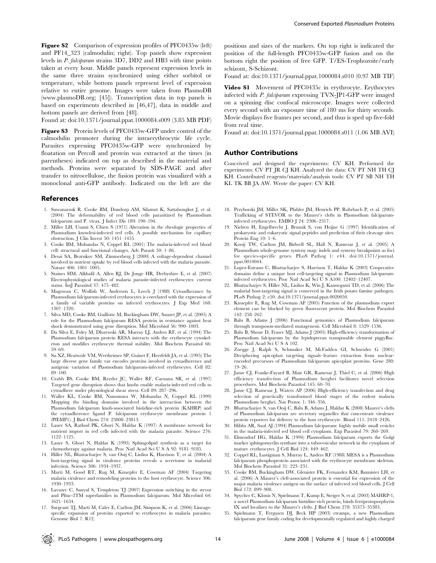Figure S2 Comparison of expression profiles of PFC0435w (left) and PF14\_323 (calmodulin; right). Top panels show expression levels in P. falciparum strains 3D7, DD2 and HB3 with time points taken at every hour. Middle panels represent expression levels in the same three strains synchronized using either sorbitol or temperature, while bottom panels represent level of expression relative to entire genome. Images were taken from PlasmoDB (www.plasmoDB.org; [45]). Transcription data in top panels is based on experiments described in [46,47], data in middle and bottom panels are derived from [48].

Found at: doi:10.1371/journal.ppat.1000084.s009 (3.85 MB PDF)

Figure S3 Protein levels of PFC0435w-GFP under control of the calmodulin promoter during the intraerythrocytic life cycle. Parasites expressing PFC0435w-GFP were synchronized by floatation on Percoll and protein was extracted at the times (in parentheses) indicated on top as described in the material and methods. Proteins were separated by SDS-PAGE and after transfer to nitrocellulose, the fusion protein was visualized with a monoclonal anti-GFP antibody. Indicated on the left are the

#### References

- 1. Suwanarusk R, Cooke BM, Dondorp AM, Silamut K, Sattabongkot J, et al. (2004) The deformability of red blood cells parasitized by Plasmodium falciparum and P. vivax. J Infect Dis 189: 190–194.
- 2. Miller LH, Usami S, Chien S (1971) Alteration in the rheologic properties of Plasmodium knowlesi-infected red cells. A possible mechanism for capillary obstruction. J Clin Invest 50: 1451–1455.
- 3. Cooke BM, Mohandas N, Coppel RL (2001) The malaria-infected red blood cell: structural and functional changes. Adv Parasit 50: 1–86.
- 4. Desai SA, Bezrukov SM, Zimmerberg J (2000) A voltage-dependent channel involved in nutrient uptake by red blood cells infected with the malaria parasite. Nature 406: 1001–1005.
- 5. Staines HM, Alkhalil A, Allen RJ, De Jonge HR, Derbyshire E, et al. (2007) Electrophysiological studies of malaria parasite-infected erythrocytes: current status. IntJ Parasitol 37: 475–482.
- 6. Magowan C, Wollish W, Anderson L, Leech J (1988) Cytoadherance by Plasmodium falciparum-infected erythrocytes is correlated with the expression of a family of variable proteins on infected erythrocytes. J Exp Med 168: 1307–1320.
- 7. Silva MD, Cooke BM, Guillotte M, Buckingham DW, Sauzet JP, et al. (2005) A role for the Plasmodium falciparum RESA protein in resistance against heat shock demonstrated using gene disruption. Mol Microbiol 56: 990–1003.
- 8. Da Silva E, Foley M, Dluzewski AR, Murray LJ, Anders RF, et al. (1994) The Plasmodium falciparum protein RESA interacts with the erythrocyte cytoskeleton and modifies erythrocyte thermal stability. Mol Biochem Parasitol 66: 59–69.
- 9. Su XZ, Heatwole VM, Wertheimer SP, Guinet F, Herrfeldt JA, et al. (1995) The large diverse gene family var encodes proteins involved in cytoadherence and antigenic variation of Plasmodium falciparum-infected erythrocytes. Cell 82: 89–100.
- 10. Crabb BS, Cooke BM, Reeder JC, Waller RF, Caruana SR, et al. (1997) Targeted gene disruption shows that knobs enable malaria-infected red cells to cytoadhere under physiological shear stress. Cell 89: 287–296.
- 11. Waller KL, Cooke BM, Nunomura W, Mohandas N, Coppel RL (1999) Mapping the binding domains involved in the interaction between the Plasmodium falciparum knob-associated histidine-rich protein (KAHRP) and the cytoadherence ligand P. falciparum erythrocyte membrane protein 1 (PfEMP1). J Biol Chem 274: 23808–23813.
- 12. Lauer SA, Rathod PK, Ghori N, Haldar K (1997) A membrane network for nutrient import in red cells infected with the malaria parasite. Science 276: 1122–1125.
- 13. Lauer S, Ghori N, Haldar K (1995) Sphingolipid synthesis as a target for chemotherapy against malaria. Proc Natl Acad Sci U S A 92: 9181–9185.
- 14. Hiller NL, Bhattacharjee S, van Ooij C, Liolios K, Harrison T, et al. (2004) A host-targeting signal in virulence proteins reveals a secretome in malarial infection. Science 306: 1934–1937.
- 15. Marti M, Good RT, Rug M, Knuepfer E, Cowman AF (2004) Targeting malaria virulence and remodeling proteins to the host erythrocyte. Science 306: 1930–1933.
- 16. Lavazec C, Sanyal S, Templeton TJ (2007) Expression switching in the stevor and Pfmc-2TM superfamilies in Plasmodium falciparum. Mol Microbiol 64: 1621–1634.
- 17. Sargeant TJ, Marti M, Caler E, Carlton JM, Simpson K, et al. (2006) Lineagespecific expansion of proteins exported to erythrocytes in malaria parasites. Genome Biol 7: R12.

positions and sizes of the markers. On top right is indicated the position of the full-length PFC0435w-GFP fusion and on the bottom right the position of free GFP. T/ES-Trophozoite/early schizont, S-Schizont.

Found at: doi:10.1371/journal.ppat.1000084.s010 (0.97 MB TIF)

Video S1 Movement of PFC0435c in erythrocyte. Erythocytes infected with P. falciparum expressing TVN-JP1-GFP were imaged on a spinning disc confocal microscope. Images were collected every second with an exposure time of 180 ms for thirty seconds. Movie displays five frames per second, and thus is sped up five-fold from real time.

Found at: doi:10.1371/journal.ppat.1000084.s011 (1.06 MB AVI)

#### Author Contributions

Conceived and designed the experiments: CV KH. Performed the experiments: CV PT JR CJ KH. Analyzed the data: CV PT NH TH CJ KH. Contributed reagents/materials/analysis tools: CV PT SB NH TH KL TK BB JA AW. Wrote the paper: CV KH.

- 18. Przyborski JM, Miller SK, Pfahler JM, Henrich PP, Rohrbach P, et al. (2005) Trafficking of STEVOR to the Maurer's clefts in Plasmodium falciparuminfected erythrocytes. EMBO J 24: 2306–2317.
- 19. Nielsen H, Engelbrecht J, Brunak S, von Heijne G (1997) Identification of prokaryotic and eukaryotic signal peptides and prediction of their cleavage sites. Protein Eng 10: 1–6.
- 20. Kooij TW, Carlton JM, Bidwell SL, Hall N, Ramesar J, et al. (2005) A Plasmodium whole-genome synteny map: indels and synteny breakpoints as foci for species-specific genes. PLoS Pathog 1: e44. doi:10.1371/journal. ppat.0010044.
- 21. Lopez-Estrano C, Bhattacharjee S, Harrison T, Haldar K (2003) Cooperative domains define a unique host cell-targeting signal in Plasmodium falciparuminfected erythrocytes. Proc Natl Acad Sci U S A100: 12402–12407.
- 22. Bhattacharjee S, Hiller NL, Liolios K, Win J, Kanneganti TD, et al. (2006) The malarial host-targeting signal is conserved in the Irish potato famine pathogen. PLoS Pathog 2: e50. doi:10.1371/journal.ppat.0020050.
- 23. Knuepfer E, Rug M, Cowman AF (2005) Function of the plasmodium export element can be blocked by green fluorescent protein. Mol Biochem Parasitol 142: 258–262.
- 24. Balu B, Adams J (2006) Functional gemomics of Plasmodium falciparum through transposon-mediated mutagenesis. Cell Microbiol 8: 1529–1536.
- 25. Balu B, Shoue D, Fraser MJ, Adams J (2005) High-efficiency transformation of Plasmodium falciparum by the lepidopteran transposable element piggyBac. Proc Natl Acad Sci U S A 102.
- 26. Zuegge J, Ralph S, Schmuker M, McFadden GI, Schneider G (2001) Deciphering apicoplast targeting signals–feature extraction from nuclearencoded precursors of Plasmodium falciparum apicoplast proteins. Gene 280: 19–26.
- 27. Janse CJ, Franke-Fayard B, Mair GR, Ramesar J, Thiel C, et al. (2006) High efficiency transfection of Plasmodium berghei facilitates novel selection procedures. Mol Biochem Parasitol 145: 60–70.
- 28. Janse CJ, Ramesar J, Waters AP (2006) High-efficiency transfection and drug selection of genetically transformed blood stages of the rodent malaria Plasmodium berghei. Nat Protoc 1: 346–356.
- 29. Bhattacharjee S, van Ooij C, Balu B, Adams J, Haldar K (2008) Maurer's clefts of Plasmodium falciparum are secretory organelles that concentrate virulence protein reporters for delivery to the host erythrocyte. Blood 111: 2418–2426.
- 30. Hibbs AR, Saul AJ (1994) Plasmodium falciparum: highly mobile small vesicles in the malaria-infected red blood cell cytoplasm. Exp Parasitol 79: 260–269.
- 31. Elmendorf HG, Haldar K (1994) Plasmodium falciparum exports the Golgi marker sphingomyelin synthase into a tubovesicular network in the cytoplasm of mature erythrocytes. J Cell Biol 124: 449–462.
- 32. Coppel RL, Lustigman S, Murray L, Anders RF (1988) MESA is a Plasmodium falciparum phosphoprotein associated with the erythrocyte membrane skeleton. Mol Biochem Parasitol 31: 223–231.
- 33. Cooke BM, Buckingham DW, Glenister FK, Fernandez KM, Bannister LH, et al. (2006) A Maurer's cleft-associated protein is essential for expression of the major malaria virulence antigen on the surface of infected red blood cells. J Cell Biol 172: 899–908.
- 34. Spycher C, Klonis N, Spielmann T, Kump E, Steiger S, et al. (2003) MAHRP-1, a novel Plasmodium falciparum histidine-rich protein, binds ferriprotoporphyrin IX and localizes to the Maurer's clefts. J Biol Chem 278: 35373–35383.
- 35. Spielmann T, Fergusen DJ, Beck HP (2003) etramps, a new Plasmodium falciparum gene family coding for developmentally regulated and highly charged